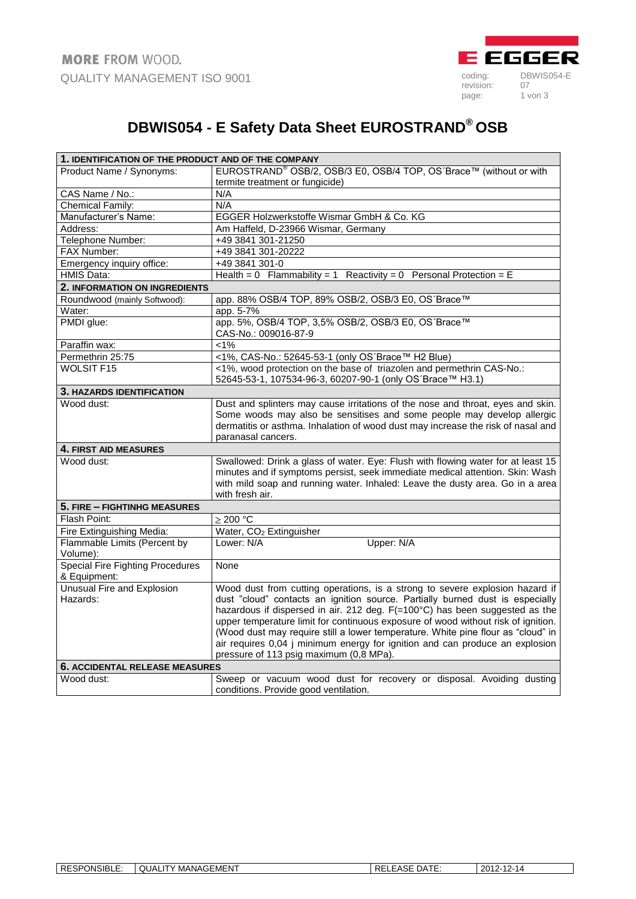

## **DBWIS054 - E Safety Data Sheet EUROSTRAND® OSB**

| 1. IDENTIFICATION OF THE PRODUCT AND OF THE COMPANY     |                                                                                                                                                                                                                                                                                                                                                                                                                                                                                                                                                  |  |
|---------------------------------------------------------|--------------------------------------------------------------------------------------------------------------------------------------------------------------------------------------------------------------------------------------------------------------------------------------------------------------------------------------------------------------------------------------------------------------------------------------------------------------------------------------------------------------------------------------------------|--|
| Product Name / Synonyms:                                | EUROSTRAND <sup>®</sup> OSB/2, OSB/3 E0, OSB/4 TOP, OS'Brace™ (without or with                                                                                                                                                                                                                                                                                                                                                                                                                                                                   |  |
|                                                         | termite treatment or fungicide)                                                                                                                                                                                                                                                                                                                                                                                                                                                                                                                  |  |
| CAS Name / No.:                                         | N/A                                                                                                                                                                                                                                                                                                                                                                                                                                                                                                                                              |  |
| <b>Chemical Family:</b>                                 | N/A                                                                                                                                                                                                                                                                                                                                                                                                                                                                                                                                              |  |
| Manufacturer's Name:                                    | EGGER Holzwerkstoffe Wismar GmbH & Co. KG                                                                                                                                                                                                                                                                                                                                                                                                                                                                                                        |  |
| Address:                                                | Am Haffeld, D-23966 Wismar, Germany                                                                                                                                                                                                                                                                                                                                                                                                                                                                                                              |  |
| Telephone Number:                                       | +49 3841 301-21250                                                                                                                                                                                                                                                                                                                                                                                                                                                                                                                               |  |
| FAX Number:                                             | +49 3841 301-20222                                                                                                                                                                                                                                                                                                                                                                                                                                                                                                                               |  |
| Emergency inquiry office:                               | +49 3841 301-0                                                                                                                                                                                                                                                                                                                                                                                                                                                                                                                                   |  |
| <b>HMIS Data:</b>                                       | Health = 0 Flammability = 1 Reactivity = 0 Personal Protection = E                                                                                                                                                                                                                                                                                                                                                                                                                                                                               |  |
| 2. INFORMATION ON INGREDIENTS                           |                                                                                                                                                                                                                                                                                                                                                                                                                                                                                                                                                  |  |
| Roundwood (mainly Softwood):                            | app. 88% OSB/4 TOP, 89% OSB/2, OSB/3 E0, OS'Brace™                                                                                                                                                                                                                                                                                                                                                                                                                                                                                               |  |
| Water:                                                  | app. 5-7%                                                                                                                                                                                                                                                                                                                                                                                                                                                                                                                                        |  |
| PMDI glue:                                              | app. 5%, OSB/4 TOP, 3,5% OSB/2, OSB/3 E0, OS'Brace™<br>CAS-No.: 009016-87-9                                                                                                                                                                                                                                                                                                                                                                                                                                                                      |  |
| Paraffin wax:                                           | $< 1\%$                                                                                                                                                                                                                                                                                                                                                                                                                                                                                                                                          |  |
| Permethrin 25:75                                        | <1%, CAS-No.: 52645-53-1 (only OS'Brace™ H2 Blue)                                                                                                                                                                                                                                                                                                                                                                                                                                                                                                |  |
| <b>WOLSIT F15</b>                                       | <1%, wood protection on the base of triazolen and permethrin CAS-No.:<br>52645-53-1, 107534-96-3, 60207-90-1 (only OS'Brace™ H3.1)                                                                                                                                                                                                                                                                                                                                                                                                               |  |
| 3. HAZARDS IDENTIFICATION                               |                                                                                                                                                                                                                                                                                                                                                                                                                                                                                                                                                  |  |
| Wood dust:                                              | Dust and splinters may cause irritations of the nose and throat, eyes and skin.<br>Some woods may also be sensitises and some people may develop allergic<br>dermatitis or asthma. Inhalation of wood dust may increase the risk of nasal and<br>paranasal cancers.                                                                                                                                                                                                                                                                              |  |
| 4. FIRST AID MEASURES                                   |                                                                                                                                                                                                                                                                                                                                                                                                                                                                                                                                                  |  |
| Wood dust:                                              | Swallowed: Drink a glass of water. Eye: Flush with flowing water for at least 15<br>minutes and if symptoms persist, seek immediate medical attention. Skin: Wash<br>with mild soap and running water. Inhaled: Leave the dusty area. Go in a area<br>with fresh air.                                                                                                                                                                                                                                                                            |  |
| 5. FIRE - FIGHTINHG MEASURES                            |                                                                                                                                                                                                                                                                                                                                                                                                                                                                                                                                                  |  |
| Flash Point:                                            | ≥ 200 °C                                                                                                                                                                                                                                                                                                                                                                                                                                                                                                                                         |  |
| Fire Extinguishing Media:                               | Water, CO <sub>2</sub> Extinguisher                                                                                                                                                                                                                                                                                                                                                                                                                                                                                                              |  |
| Flammable Limits (Percent by<br>Volume):                | Upper: N/A<br>Lower: N/A                                                                                                                                                                                                                                                                                                                                                                                                                                                                                                                         |  |
| <b>Special Fire Fighting Procedures</b><br>& Equipment: | None                                                                                                                                                                                                                                                                                                                                                                                                                                                                                                                                             |  |
| Unusual Fire and Explosion<br>Hazards:                  | Wood dust from cutting operations, is a strong to severe explosion hazard if<br>dust "cloud" contacts an ignition source. Partially burned dust is especially<br>hazardous if dispersed in air. 212 deg. F(=100°C) has been suggested as the<br>upper temperature limit for continuous exposure of wood without risk of ignition.<br>(Wood dust may require still a lower temperature. White pine flour as "cloud" in<br>air requires 0,04 j minimum energy for ignition and can produce an explosion<br>pressure of 113 psig maximum (0,8 MPa). |  |
| <b>6. ACCIDENTAL RELEASE MEASURES</b>                   |                                                                                                                                                                                                                                                                                                                                                                                                                                                                                                                                                  |  |
| Wood dust:                                              | Sweep or vacuum wood dust for recovery or disposal. Avoiding dusting<br>conditions. Provide good ventilation.                                                                                                                                                                                                                                                                                                                                                                                                                                    |  |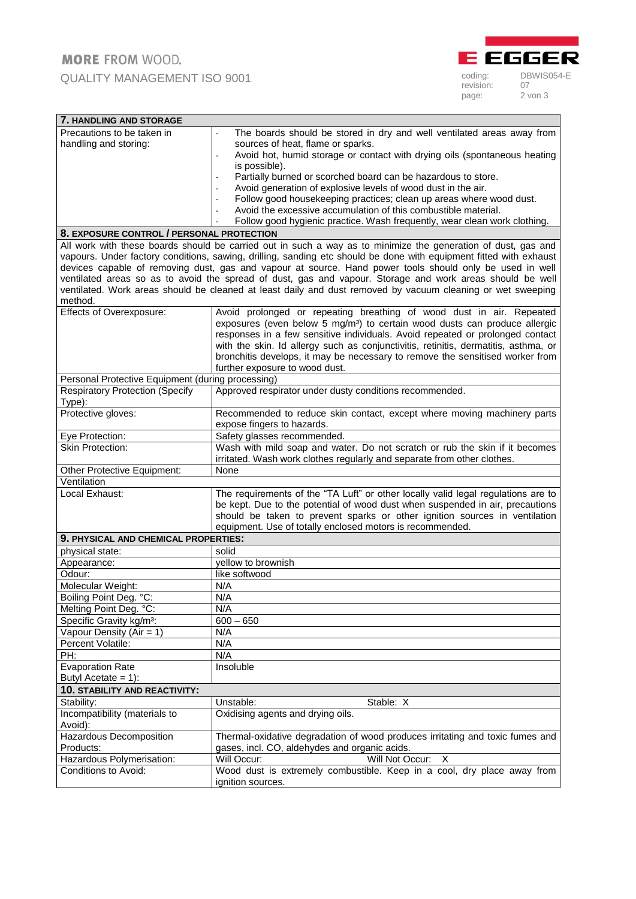

| 7. HANDLING AND STORAGE                                                                                                                                                                                                        |                                                                                                             |  |
|--------------------------------------------------------------------------------------------------------------------------------------------------------------------------------------------------------------------------------|-------------------------------------------------------------------------------------------------------------|--|
| Precautions to be taken in                                                                                                                                                                                                     | The boards should be stored in dry and well ventilated areas away from                                      |  |
| handling and storing:                                                                                                                                                                                                          | sources of heat, flame or sparks.                                                                           |  |
|                                                                                                                                                                                                                                | Avoid hot, humid storage or contact with drying oils (spontaneous heating<br>÷,                             |  |
|                                                                                                                                                                                                                                | is possible).                                                                                               |  |
|                                                                                                                                                                                                                                | Partially burned or scorched board can be hazardous to store.                                               |  |
|                                                                                                                                                                                                                                | Avoid generation of explosive levels of wood dust in the air.                                               |  |
|                                                                                                                                                                                                                                | Follow good housekeeping practices; clean up areas where wood dust.<br>$\sim$                               |  |
|                                                                                                                                                                                                                                | Avoid the excessive accumulation of this combustible material.                                              |  |
|                                                                                                                                                                                                                                | Follow good hygienic practice. Wash frequently, wear clean work clothing.                                   |  |
| 8. EXPOSURE CONTROL / PERSONAL PROTECTION                                                                                                                                                                                      |                                                                                                             |  |
| All work with these boards should be carried out in such a way as to minimize the generation of dust, gas and                                                                                                                  |                                                                                                             |  |
| vapours. Under factory conditions, sawing, drilling, sanding etc should be done with equipment fitted with exhaust<br>devices capable of removing dust, gas and vapour at source. Hand power tools should only be used in well |                                                                                                             |  |
|                                                                                                                                                                                                                                | ventilated areas so as to avoid the spread of dust, gas and vapour. Storage and work areas should be well   |  |
|                                                                                                                                                                                                                                | ventilated. Work areas should be cleaned at least daily and dust removed by vacuum cleaning or wet sweeping |  |
| method.                                                                                                                                                                                                                        |                                                                                                             |  |
| Effects of Overexposure:                                                                                                                                                                                                       | Avoid prolonged or repeating breathing of wood dust in air. Repeated                                        |  |
|                                                                                                                                                                                                                                | exposures (even below 5 mg/m <sup>3</sup> ) to certain wood dusts can produce allergic                      |  |
|                                                                                                                                                                                                                                | responses in a few sensitive individuals. Avoid repeated or prolonged contact                               |  |
|                                                                                                                                                                                                                                | with the skin. Id allergy such as conjunctivitis, retinitis, dermatitis, asthma, or                         |  |
|                                                                                                                                                                                                                                | bronchitis develops, it may be necessary to remove the sensitised worker from                               |  |
|                                                                                                                                                                                                                                | further exposure to wood dust.                                                                              |  |
| Personal Protective Equipment (during processing)                                                                                                                                                                              |                                                                                                             |  |
| <b>Respiratory Protection (Specify</b><br>Type):                                                                                                                                                                               | Approved respirator under dusty conditions recommended.                                                     |  |
| Protective gloves:                                                                                                                                                                                                             | Recommended to reduce skin contact, except where moving machinery parts                                     |  |
|                                                                                                                                                                                                                                | expose fingers to hazards.                                                                                  |  |
| Eye Protection:                                                                                                                                                                                                                | Safety glasses recommended.                                                                                 |  |
| <b>Skin Protection:</b>                                                                                                                                                                                                        | Wash with mild soap and water. Do not scratch or rub the skin if it becomes                                 |  |
|                                                                                                                                                                                                                                | irritated. Wash work clothes regularly and separate from other clothes.                                     |  |
| Other Protective Equipment:                                                                                                                                                                                                    | None                                                                                                        |  |
| Ventilation                                                                                                                                                                                                                    |                                                                                                             |  |
| Local Exhaust:                                                                                                                                                                                                                 | The requirements of the "TA Luft" or other locally valid legal regulations are to                           |  |
|                                                                                                                                                                                                                                | be kept. Due to the potential of wood dust when suspended in air, precautions                               |  |
|                                                                                                                                                                                                                                | should be taken to prevent sparks or other ignition sources in ventilation                                  |  |
|                                                                                                                                                                                                                                | equipment. Use of totally enclosed motors is recommended.                                                   |  |
| 9. PHYSICAL AND CHEMICAL PROPERTIES:                                                                                                                                                                                           |                                                                                                             |  |
| physical state:                                                                                                                                                                                                                | solid                                                                                                       |  |
| Appearance:                                                                                                                                                                                                                    | yellow to brownish                                                                                          |  |
| Odour:                                                                                                                                                                                                                         | like softwood                                                                                               |  |
| Molecular Weight:                                                                                                                                                                                                              | N/A                                                                                                         |  |
| Boiling Point Deg. °C:                                                                                                                                                                                                         | N/A<br>N/A                                                                                                  |  |
| Melting Point Deg. °C:<br>Specific Gravity kg/m <sup>3</sup> :                                                                                                                                                                 |                                                                                                             |  |
| Vapour Density (Air = $1$ )                                                                                                                                                                                                    | $600 - 650$<br>N/A                                                                                          |  |
| Percent Volatile:                                                                                                                                                                                                              | N/A                                                                                                         |  |
| PH:                                                                                                                                                                                                                            | N/A                                                                                                         |  |
| <b>Evaporation Rate</b>                                                                                                                                                                                                        | Insoluble                                                                                                   |  |
| Butyl Acetate = $1$ :                                                                                                                                                                                                          |                                                                                                             |  |
| <b>10. STABILITY AND REACTIVITY:</b>                                                                                                                                                                                           |                                                                                                             |  |
| Stability:                                                                                                                                                                                                                     | Unstable:<br>Stable: X                                                                                      |  |
| Incompatibility (materials to                                                                                                                                                                                                  | Oxidising agents and drying oils.                                                                           |  |
| Avoid):                                                                                                                                                                                                                        |                                                                                                             |  |
| Hazardous Decomposition                                                                                                                                                                                                        | Thermal-oxidative degradation of wood produces irritating and toxic fumes and                               |  |
| Products:                                                                                                                                                                                                                      | gases, incl. CO, aldehydes and organic acids.                                                               |  |
| Hazardous Polymerisation:                                                                                                                                                                                                      | Will Not Occur: X<br>Will Occur:                                                                            |  |
| Conditions to Avoid:                                                                                                                                                                                                           | Wood dust is extremely combustible. Keep in a cool, dry place away from                                     |  |
|                                                                                                                                                                                                                                | ignition sources.                                                                                           |  |